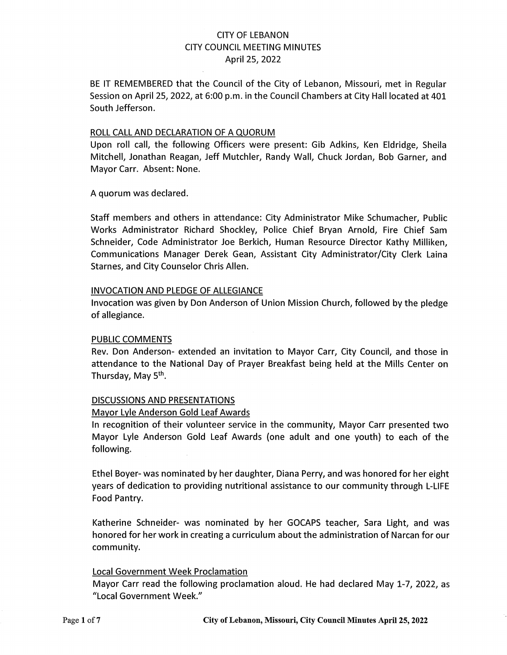## CITY OF LEBANON CITY COUNCIL MEETING MINUTES April 25, 2022

BE IT REMEMBERED that the Council of the City of Lebanon, Missouri, met in Regular Session on April 25, 2022, at 6:00 p.m. in the Council Chambers at City Hall located at 401 South Jefferson.

#### ROLL CALL AND DECLARATION OF A QUORUM

Upon roll call, the following Officers were present: Gib Adkins, Ken Eldridge, Sheila Mitchell, Jonathan Reagan, Jeff Mutchler, Randy Wall, Chuck Jordan, Bob Garner, and Mayor Carr. Absent: None.

A quorum was declared.

Staff members and others in attendance: City Administrator Mike Schumacher, Public Works Administrator Richard Shockley, Police Chief Bryan Arnold, Fire Chief Sam Schneider, Code Administrator Joe Berkich, Human Resource Director Kathy Milliken, Communications Manager Derek Gean, Assistant City Administrator/City Clerk Laina Starnes, and City Counselor Chris Allen.

#### INVOCATION AND PLEDGE OF ALLEGIANCE

Invocation was given by Don Anderson of Union Mission Church, followed by the pledge of allegiance.

#### PUBLIC COMMENTS

Rev. Don Anderson- extended an invitation to Mayor Carr, City Council, and those in attendance to the National Day of Prayer Breakfast being held at the Mills Center on Thursday, May 5<sup>th</sup>.

#### DISCUSSIONS AND PRESENTATIONS

#### Mayor Lyle Anderson Gold Leaf Awards

In recognition of their volunteer service in the community, Mayor Carr presented two Mayor Lyle Anderson Gold Leaf Awards (one adult and one youth) to each of the following.

Ethel Boyer- was nominated by her daughter, Diana Perry, and was honored for her eight years of dedication to providing nutritional assistance to our community through L-LIFE Food Pantry.

Katherine Schneider- was nominated by her GOCAPS teacher, Sara Light, and was honored for her work in creating a curriculum about the administration of Narcan for our community.

#### Local Government Week Proclamation

Mayor Carr read the following proclamation aloud. He had declared May 1-7, 2022, as "Local Government Week."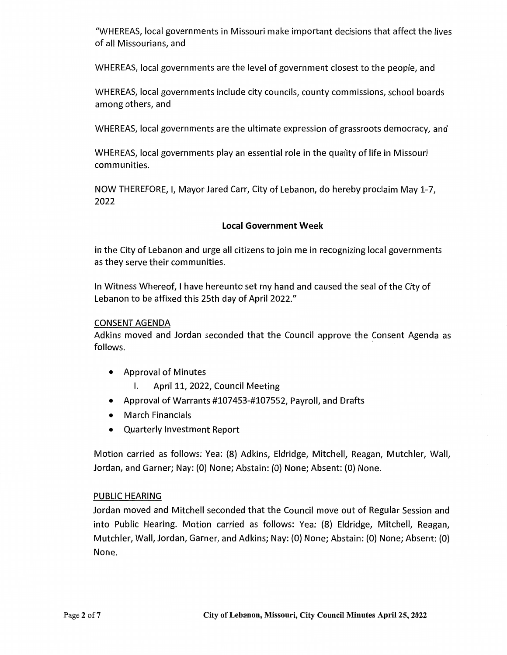"WHEREAS, local governments in Missouri make important decisions that affect the lives of all Missourians, and

WHEREAS, local governments are the level of government closest to the people, and

WHEREAS, local governments include city councils, county commissions, school boards among others, and

WHEREAS, local governments are the ultimate expression of grassroots democracy, and

WHEREAS, local governments play an essential role in the quality of life in Missouri communities.

NOW THEREFORE, I, Mayor Jared Carr, City of Lebanon, do hereby proclaim May 1-7, 2022

## **Local Government Week**

in the City of Lebanon and urge all citizens to join me in recognizing local governments as they serve their communities.

In Witness Whereof, I have hereunto set my hand and caused the seal of the City of Lebanon to be affixed this 25th day of April 2022."

### CONSENT AGENDA

Adkins moved and Jordan seconded that the Council approve the Consent Agenda as follows.

- Approval of Minutes
	- I. April 11, 2022, Council Meeting
- Approval of Warrants #107453-#107552, Payroll, and Drafts
- March Financials
- Quarterly Investment Report

Motion carried as follows: Yea: (8) Adkins, Eldridge, Mitchell, Reagan, Mutchler, Wall, Jordan, and Garner; Nay: (0) None; Abstain: (0) None; Absent: (0) None.

## PUBLIC HEARING

Jordan moved and Mitchell seconded that the Council move out of Regular Session and into Public Hearing. Motion carried as follows: Yea: (8) Eldridge, Mitchell, Reagan, Mutchler, Wall, Jordan, Garner, and Adkins; Nay: (0) None; Abstain: (0) None; Absent: (0) None.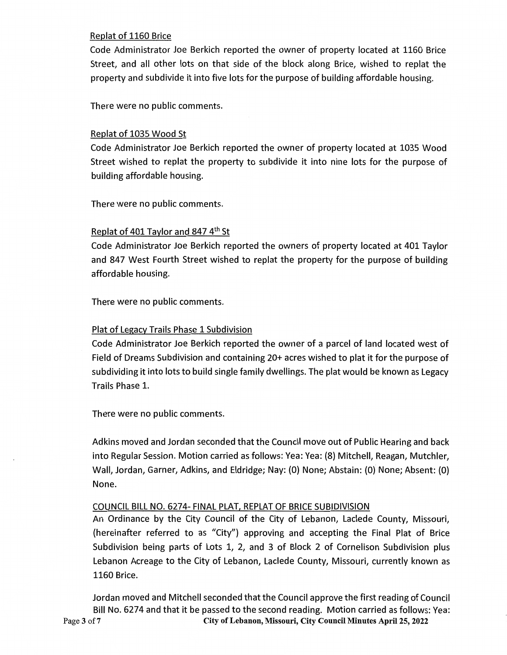## Replat of 1160 Brice

Code Administrator Joe Berkich reported the owner of property located at 1160 Brice Street, and all other lots on that side of the block along Brice, wished to replat the property and subdivide it into five lots for the purpose of building affordable housing.

There were no public comments.

## Replat of 1035 Wood St

Code Administrator Joe Berkich reported the owner of property located at 1035 Wood Street wished to replat the property to subdivide it into nine lots for the purpose of building affordable housing.

There were no public comments.

## Replat of 401 Taylor and 847 4th St

Code Administrator Joe Berkich reported the owners of property located at 401 Taylor and 847 West Fourth Street wished to replat the property for the purpose of building affordable housing.

There were no public comments.

## Plat of Legacy Trails Phase 1 Subdivision

Code Administrator Joe Berkich reported the owner of a parcel of land located west of Field of Dreams Subdivision and containing 20+ acres wished to plat it for the purpose of subdividing it into lots to build single family dwellings. The plat would be known as Legacy Trails Phase 1.

There were no public comments.

Adkins moved and Jordan seconded that the Council move out of Public Hearing and back into Regular Session. Motion carried as follows: Yea: Yea: (8) Mitchell, Reagan, Mutchler, Wall, Jordan, Garner, Adkins, and Eldridge; Nay: (0) None; Abstain: (0) None; Absent: (O) None.

## COUNCIL BILL NO. 6274- FINAL PLAT, REPLAT OF BRICE SUBIDIVISION

An Ordinance by the City Council of the City of Lebanon, Laclede County, Missouri, (hereinafter referred to as "City") approving and accepting the Final Plat of Brice Subdivision being parts of Lots 1, 2, and 3 of Block 2 of Cornelison Subdivision plus Lebanon Acreage to the City of Lebanon, Laclede County, Missouri, currently known as 1160 Brice.

Jordan moved and Mitchell seconded that the Council approve the first reading of Council Bill No. 6274 and that it be passed to the second reading. Motion carried as follows: Yea: Page **3** of **7 City of Lebanon, Missouri, City Council Minutes April 25, 2022**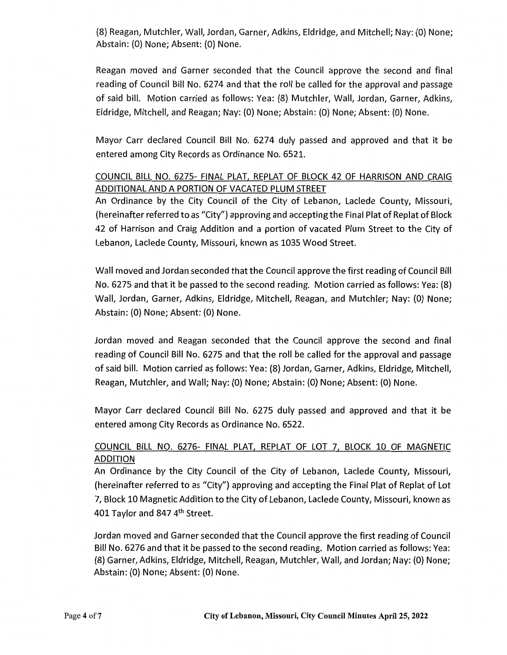(8} Reagan, Mutchler, Wall, Jordan, Garner, Adkins, Eldridge, and Mitchell; Nay: (0} None; Abstain: (0} None; Absent: (0) None.

Reagan moved and Garner seconded that the Council approve the second and final reading of Council Bill No. 6274 and that the roll be called for the approval and passage of said bill. Motion carried as follows: Yea: (8) Mutchler, Wall, Jordan, Garner, Adkins, Eldridge, Mitchell, and Reagan; Nay: (0) None; Abstain: (0) None; Absent: (0} None.

Mayor Carr declared Council Bill No. 6274 duly passed and approved and that it be entered among City Records as Ordinance No. 6521.

# COUNCIL BILL NO. 6275- FINAL PLAT, REPLAT OF BLOCK 42 OF HARRISON AND CRAIG ADDITIONAL AND A PORTION OF VACATED PLUM STREET

An Ordinance by the City Council of the City of Lebanon, Laclede County, Missouri, (hereinafter referred to as "City") approving and accepting the Final Plat of Replat of Block 42 of Harrison and Craig Addition and a portion of vacated Plum Street to the City of Lebanon, Laclede County, Missouri, known as 1035 Wood Street.

Wall moved and Jordan seconded that the Council approve the first reading of Council Bill No. 6275 and that it be passed to the second reading. Motion carried as follows: Yea: (8} Wall, Jordan, Garner, Adkins, Eldridge, Mitchell, Reagan, and Mutchler; Nay: (O} None; Abstain: (0) None; Absent: (0} None.

Jordan moved and Reagan seconded that the Council approve the second and final reading of Council Bill No. 6275 and that the roll be called for the approval and passage of said bill. Motion carried as follows: Yea: (8) Jordan, Garner, Adkins, Eldridge, Mitchell, Reagan, Mutchler, and Wall; Nay: (0) None; Abstain: (0) None; Absent: (0) None.

Mayor Carr declared Council Bill No. 6275 duly passed and approved and that it be entered among City Records as Ordinance No. 6522.

# COUNCIL BILL NO. 6276- FINAL PLAT, REPLAT OF LOT 7, BLOCK 10 OF MAGNETIC ADDITION

An Ordinance by the City Council of the City of Lebanon, Laclede County, Missouri, (hereinafter referred to as "City") approving and accepting the Final Plat of Replat of Lot 7, Block 10 Magnetic Addition to the City of Lebanon, Laclede County, Missouri, known as 401 Taylor and 847 4th Street.

Jordan moved and Garner seconded that the Council approve the first reading of Council Bill No. 6276 and that it be passed to the second reading. Motion carried as follows: Yea: (8) Garner, Adkins, Eldridge, Mitchell, Reagan, Mutchler, Wall, and Jordan; Nay: (0) None; Abstain: (0) None; Absent: (O} None.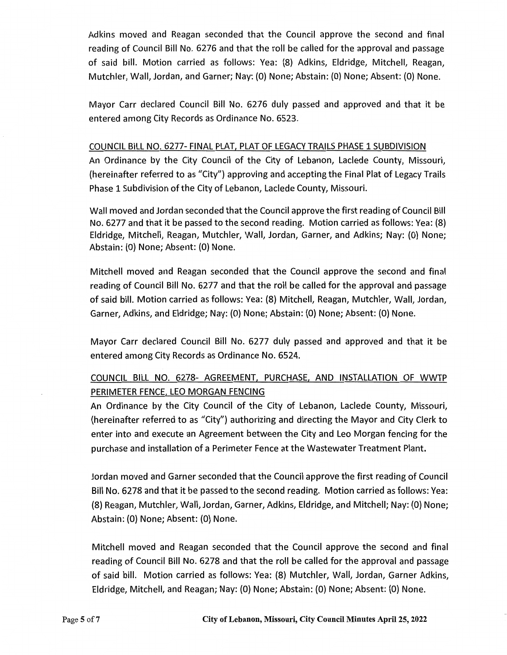Adkins moved and Reagan seconded that the Council approve the second and final reading of Council Bill No. 6276 and that the roll be called for the approval and passage of said bill. Motion carried as follows: Yea: (8) Adkins, Eldridge, Mitchell, Reagan, Mutchler, Wall, Jordan, and Garner; Nay: (0) None; Abstain: (0) None; Absent: (0) None.

Mayor Carr declared Council Bill No. 6276 duly passed and approved and that it be entered among City Records as Ordinance No. 6523.

## COUNCIL BILL NO. 6277- FINAL PLAT, PLAT OF LEGACY TRAILS PHASE 1 SUBDIVISION

An Ordinance by the City Council of the City of Lebanon, Laclede County, Missouri, (hereinafter referred to as "City") approving and accepting the Final Plat of Legacy Trails Phase 1 Subdivision of the City of Lebanon, Laclede County, Missouri.

Wall moved and Jordan seconded that the Council approve the first reading of Council Bill No. 6277 and that it be passed to the second reading. Motion carried as follows: Yea: (8) Eldridge, Mitchell, Reagan, Mutchler, Wall, Jordan, Garner, and Adkins; Nay: (0) None; Abstain: (0) None; Absent: {0) None.

Mitchell moved and Reagan seconded that the Council approve the second and final reading of Council Bill No. 6277 and that the roll be called for the approval and passage of said bill. Motion carried as follows: Yea: (8) Mitchell, Reagan, Mutchler, Wall, Jordan, Garner, Adkins, and Eldridge; Nay: (0) None; Abstain: (0) None; Absent: (0) None.

Mayor Carr declared Council Bill No. 6277 duly passed and approved and that it be entered among City Records as Ordinance No. 6524.

# COUNCIL BILL NO. 6278- AGREEMENT, PURCHASE, AND INSTALLATION OF WWTP PERIMETER FENCE, LEO MORGAN FENCING

An Ordinance by the City Council of the City of Lebanon, Laclede County, Missouri, (hereinafter referred to as "City") authorizing and directing the Mayor and City Clerk to enter into and execute an Agreement between the City and Leo Morgan fencing for the purchase and installation of a Perimeter Fence at the Wastewater Treatment Plant.

Jordan moved and Garner seconded that the Council approve the first reading of Council Bill No. 6278 and that it be passed to the second reading. Motion carried as follows: Yea: (8) Reagan, Mutchler, Wall, Jordan, Garner, Adkins, Eldridge, and Mitchell; Nay: (0) None; Abstain: (0) None; Absent: (0) None.

Mitchell moved and Reagan seconded that the Council approve the second and final reading of Council Bill No. 6278 and that the roll be called for the approval and passage of said bill. Motion carried as follows: Yea: (8) Mutchler, Wall, Jordan, Garner Adkins, Eldridge, Mitchell, and Reagan; Nay: (0) None; Abstain: (0) None; Absent: (0) None.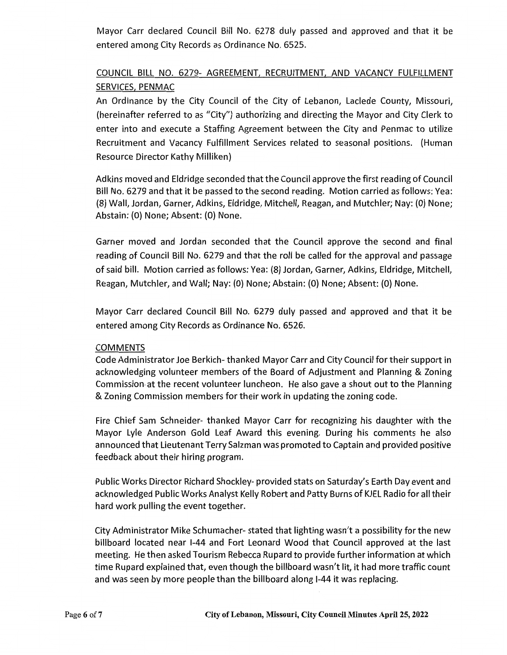Mayor Carr declared Council Bill No. 6278 duly passed and approved and that it be entered among City Records as Ordinance No. 6525.

# COUNCIL BILL NO. 6279- AGREEMENT, RECRUITMENT, AND VACANCY FULFILLMENT SERVICES, PENMAC

An Ordinance by the City Council of the City of Lebanon, Laclede County, Missouri, (hereinafter referred to as "City") authorizing and directing the Mayor and City Clerk to enter into and execute a Staffing Agreement between the City and Penmac to utilize Recruitment and Vacancy Fulfillment Services related to seasonal positions. (Human Resource Director Kathy Milliken)

Adkins moved and Eldridge seconded that the Council approve the first reading of Council Bill No. 6279 and that it be passed to the second reading. Motion carried as follows: Yea: (8) Wall, Jordan, Garner, Adkins, Eldridge, Mitchell, Reagan, and Mutchler; Nay: (O) None; Abstain: (O) None; Absent: (0) None.

Garner moved and Jordan seconded that the Council approve the second and final reading of Council Bill No. 6279 and that the roll be called for the approval and passage of said bill. Motion carried as follows: Yea: (8) Jordan, Garner, Adkins, Eldridge, Mitchell, Reagan, Mutchler, and Wall; Nay: (O) None; Abstain: (O) None; Absent: (O) None.

Mayor Carr declared Council Bill No. 6279 duly passed and approved and that it be entered among City Records as Ordinance No. 6526.

## COMMENTS

Code Administrator Joe Berkich- thanked Mayor Carr and City Council for their support in acknowledging volunteer members of the Board of Adjustment and Planning & Zoning Commission, at the recent volunteer luncheon. He also gave a shout out to the Planning & Zoning Commission members for their work in updating the zoning code.

Fire Chief Sam Schneider- thanked Mayor Carr for recognizing his daughter with the Mayor Lyle Anderson Gold Leaf Award this evening. During his comments he also announced that Lieutenant Terry Salzman was promoted to Captain and provided positive feedback about their hiring program.

Public Works Director Richard Shockley- provided stats on Saturday's Earth Day event and acknowledged Public Works Analyst Kelly Robert and Patty Burns of KJEL Radio for all their hard work pulling the event together.

City Administrator Mike Schumacher- stated that lighting wasn't a possibility for the new billboard located near 1-44 and Fort Leonard Wood that Council approved at the last meeting. He then asked Tourism Rebecca Rupard to provide further information at which time Rupard explained that, even though the billboard wasn't lit, it had more traffic count and was seen by more people than the billboard along 1-44 it was replacing.